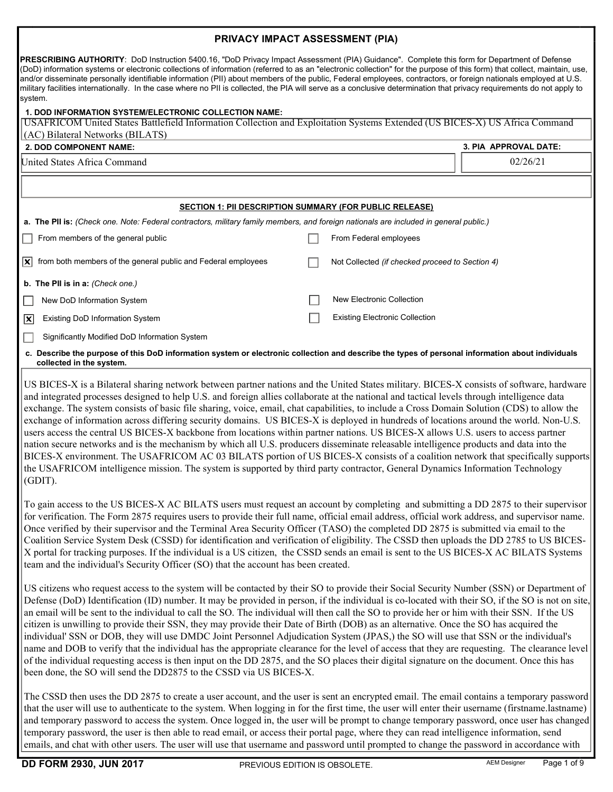## PRIVACY IMPACT ASSESSMENT (PIA)

PRESCRIBING AUTHORITY: DoD Instruction 5400.16, "DoD Privacy Impact Assessment (PIA) Guidance". Complete this form for Department of Defense (DoD) information systems or electronic collections of information (referred to as an "electronic collection" for the purpose of this form) that collect, maintain, use, and/or disseminate personally identifiable information (PII) about members of the public, Federal employees, contractors, or foreign nationals employed at U.S. military facilities internationally. In the case where no PII is collected, the PIA will serve as a conclusive determination that privacy requirements do not apply to system.

## 1. DOD INFORMATION SYSTEM/ELECTRONIC COLLECTION NAME:

| 11 YRTHATIVN YTYTEMLEED I NYND OOLLEY IT                                                                                                                                                                                                                                                                                                                                                                                                                                                                                                                                        |  |                                                 |                       |
|---------------------------------------------------------------------------------------------------------------------------------------------------------------------------------------------------------------------------------------------------------------------------------------------------------------------------------------------------------------------------------------------------------------------------------------------------------------------------------------------------------------------------------------------------------------------------------|--|-------------------------------------------------|-----------------------|
| USAFRICOM United States Battlefield Information Collection and Exploitation Systems Extended (US BICES-X) US Africa Command                                                                                                                                                                                                                                                                                                                                                                                                                                                     |  |                                                 |                       |
| (AC) Bilateral Networks (BILATS)                                                                                                                                                                                                                                                                                                                                                                                                                                                                                                                                                |  |                                                 |                       |
| 2. DOD COMPONENT NAME:                                                                                                                                                                                                                                                                                                                                                                                                                                                                                                                                                          |  |                                                 | 3. PIA APPROVAL DATE: |
| United States Africa Command                                                                                                                                                                                                                                                                                                                                                                                                                                                                                                                                                    |  |                                                 | 02/26/21              |
|                                                                                                                                                                                                                                                                                                                                                                                                                                                                                                                                                                                 |  |                                                 |                       |
|                                                                                                                                                                                                                                                                                                                                                                                                                                                                                                                                                                                 |  |                                                 |                       |
| <b>SECTION 1: PII DESCRIPTION SUMMARY (FOR PUBLIC RELEASE)</b>                                                                                                                                                                                                                                                                                                                                                                                                                                                                                                                  |  |                                                 |                       |
| a. The PII is: (Check one. Note: Federal contractors, military family members, and foreign nationals are included in general public.)                                                                                                                                                                                                                                                                                                                                                                                                                                           |  |                                                 |                       |
| From members of the general public                                                                                                                                                                                                                                                                                                                                                                                                                                                                                                                                              |  | From Federal employees                          |                       |
|                                                                                                                                                                                                                                                                                                                                                                                                                                                                                                                                                                                 |  |                                                 |                       |
| from both members of the general public and Federal employees<br>$ \mathbf{x} $                                                                                                                                                                                                                                                                                                                                                                                                                                                                                                 |  | Not Collected (if checked proceed to Section 4) |                       |
| b. The PII is in a: (Check one.)                                                                                                                                                                                                                                                                                                                                                                                                                                                                                                                                                |  |                                                 |                       |
| New DoD Information System                                                                                                                                                                                                                                                                                                                                                                                                                                                                                                                                                      |  | New Electronic Collection                       |                       |
| <b>Existing DoD Information System</b><br>$ \mathsf{x} $                                                                                                                                                                                                                                                                                                                                                                                                                                                                                                                        |  | <b>Existing Electronic Collection</b>           |                       |
| Significantly Modified DoD Information System                                                                                                                                                                                                                                                                                                                                                                                                                                                                                                                                   |  |                                                 |                       |
| c. Describe the purpose of this DoD information system or electronic collection and describe the types of personal information about individuals<br>collected in the system.                                                                                                                                                                                                                                                                                                                                                                                                    |  |                                                 |                       |
| US BICES-X is a Bilateral sharing network between partner nations and the United States military. BICES-X consists of software, hardware<br>and integrated processes designed to help U.S. and foreign allies collaborate at the national and tactical levels through intelligence data<br>exchange. The system consists of basic file sharing, voice, email, chat capabilities, to include a Cross Domain Solution (CDS) to allow the<br>exchange of information across differing security domains. US BICES-X is deployed in hundreds of locations around the world. Non-U.S. |  |                                                 |                       |

users access the central US BICES-X backbone from locations within partner nations. US BICES-X allows U.S. users to access partner nation secure networks and is the mechanism by which all U.S. producers disseminate releasable intelligence products and data into the BICES-X environment. The USAFRICOM AC 03 BILATS portion of US BICES-X consists of a coalition network that specifically supports the USAFRICOM intelligence mission. The system is supported by third party contractor, General Dynamics Information Technology (GDIT).

To gain access to the US BICES-X AC BILATS users must request an account by completing and submitting a DD 2875 to their supervisor for verification. The Form 2875 requires users to provide their full name, official email address, official work address, and supervisor name. Once verified by their supervisor and the Terminal Area Security Officer (TASO) the completed DD 2875 is submitted via email to the Coalition Service System Desk (CSSD) for identification and verification of eligibility. The CSSD then uploads the DD 2785 to US BICES-X portal for tracking purposes. If the individual is a US citizen, the CSSD sends an email is sent to the US BICES-X AC BILATS Systems team and the individual's Security Officer (SO) that the account has been created.

US citizens who request access to the system will be contacted by their SO to provide their Social Security Number (SSN) or Department of Defense (DoD) Identification (ID) number. It may be provided in person, if the individual is co-located with their SO, if the SO is not on site, an email will be sent to the individual to call the SO. The individual will then call the SO to provide her or him with their SSN. If the US citizen is unwilling to provide their SSN, they may provide their Date of Birth (DOB) as an alternative. Once the SO has acquired the individual' SSN or DOB, they will use DMDC Joint Personnel Adjudication System (JPAS,) the SO will use that SSN or the individual's name and DOB to verify that the individual has the appropriate clearance for the level of access that they are requesting. The clearance level of the individual requesting access is then input on the DD 2875, and the SO places their digital signature on the document. Once this has been done, the SO will send the DD2875 to the CSSD via US BICES-X.

The CSSD then uses the DD 2875 to create a user account, and the user is sent an encrypted email. The email contains a temporary password that the user will use to authenticate to the system. When logging in for the first time, the user will enter their username (firstname.lastname) and temporary password to access the system. Once logged in, the user will be prompt to change temporary password, once user has changed temporary password, the user is then able to read email, or access their portal page, where they can read intelligence information, send emails, and chat with other users. The user will use that username and password until prompted to change the password in accordance with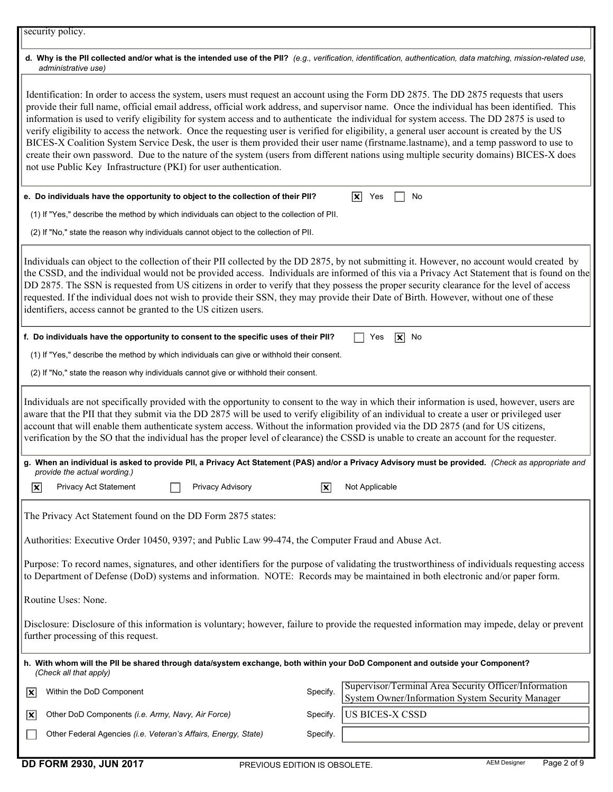## d. Why is the PII collected and/or what is the intended use of the PII? (e.g., verification, identification, authentication, data matching, mission-related use, administrative use)

Identification: In order to access the system, users must request an account using the Form DD 2875. The DD 2875 requests that users provide their full name, official email address, official work address, and supervisor name. Once the individual has been identified. This information is used to verify eligibility for system access and to authenticate the individual for system access. The DD 2875 is used to verify eligibility to access the network. Once the requesting user is verified for eligibility, a general user account is created by the US BICES-X Coalition System Service Desk, the user is them provided their user name (firstname.lastname), and a temp password to use to create their own password. Due to the nature of the system (users from different nations using multiple security domains) BICES-X does not use Public Key Infrastructure (PKI) for user authentication.

| e. Do individuals have the opportunity to object to the collection of their PII?                                                                                                                                                                                                                                                                                                                                                                                                                                                                                                                                                                  |                           | $ \mathbf{x} $<br>Yes<br>No                                                                               |
|---------------------------------------------------------------------------------------------------------------------------------------------------------------------------------------------------------------------------------------------------------------------------------------------------------------------------------------------------------------------------------------------------------------------------------------------------------------------------------------------------------------------------------------------------------------------------------------------------------------------------------------------------|---------------------------|-----------------------------------------------------------------------------------------------------------|
| (1) If "Yes," describe the method by which individuals can object to the collection of PII.                                                                                                                                                                                                                                                                                                                                                                                                                                                                                                                                                       |                           |                                                                                                           |
| (2) If "No," state the reason why individuals cannot object to the collection of PII.                                                                                                                                                                                                                                                                                                                                                                                                                                                                                                                                                             |                           |                                                                                                           |
| Individuals can object to the collection of their PII collected by the DD 2875, by not submitting it. However, no account would created by<br>the CSSD, and the individual would not be provided access. Individuals are informed of this via a Privacy Act Statement that is found on the<br>DD 2875. The SSN is requested from US citizens in order to verify that they possess the proper security clearance for the level of access<br>requested. If the individual does not wish to provide their SSN, they may provide their Date of Birth. However, without one of these<br>identifiers, access cannot be granted to the US citizen users. |                           |                                                                                                           |
| f. Do individuals have the opportunity to consent to the specific uses of their PII?                                                                                                                                                                                                                                                                                                                                                                                                                                                                                                                                                              |                           | $\sqrt{\mathbf{x}}$ No<br>Yes                                                                             |
| (1) If "Yes," describe the method by which individuals can give or withhold their consent.                                                                                                                                                                                                                                                                                                                                                                                                                                                                                                                                                        |                           |                                                                                                           |
| (2) If "No," state the reason why individuals cannot give or withhold their consent.                                                                                                                                                                                                                                                                                                                                                                                                                                                                                                                                                              |                           |                                                                                                           |
| Individuals are not specifically provided with the opportunity to consent to the way in which their information is used, however, users are<br>aware that the PII that they submit via the DD 2875 will be used to verify eligibility of an individual to create a user or privileged user<br>account that will enable them authenticate system access. Without the information provided via the DD 2875 (and for US citizens,<br>verification by the SO that the individual has the proper level of clearance) the CSSD is unable to create an account for the requester.                                                                        |                           |                                                                                                           |
| g. When an individual is asked to provide PII, a Privacy Act Statement (PAS) and/or a Privacy Advisory must be provided. (Check as appropriate and<br>provide the actual wording.)                                                                                                                                                                                                                                                                                                                                                                                                                                                                |                           |                                                                                                           |
| Privacy Act Statement<br>Privacy Advisory<br>$ \mathbf{x} $                                                                                                                                                                                                                                                                                                                                                                                                                                                                                                                                                                                       | $ \overline{\mathbf{x}} $ | Not Applicable                                                                                            |
| The Privacy Act Statement found on the DD Form 2875 states:                                                                                                                                                                                                                                                                                                                                                                                                                                                                                                                                                                                       |                           |                                                                                                           |
| Authorities: Executive Order 10450, 9397; and Public Law 99-474, the Computer Fraud and Abuse Act.                                                                                                                                                                                                                                                                                                                                                                                                                                                                                                                                                |                           |                                                                                                           |
| Purpose: To record names, signatures, and other identifiers for the purpose of validating the trustworthiness of individuals requesting access<br>to Department of Defense (DoD) systems and information. NOTE: Records may be maintained in both electronic and/or paper form.                                                                                                                                                                                                                                                                                                                                                                   |                           |                                                                                                           |
| Routine Uses: None.                                                                                                                                                                                                                                                                                                                                                                                                                                                                                                                                                                                                                               |                           |                                                                                                           |
| Disclosure: Disclosure of this information is voluntary; however, failure to provide the requested information may impede, delay or prevent<br>further processing of this request.                                                                                                                                                                                                                                                                                                                                                                                                                                                                |                           |                                                                                                           |
| h. With whom will the PII be shared through data/system exchange, both within your DoD Component and outside your Component?<br>(Check all that apply)                                                                                                                                                                                                                                                                                                                                                                                                                                                                                            |                           |                                                                                                           |
| Within the DoD Component<br> X                                                                                                                                                                                                                                                                                                                                                                                                                                                                                                                                                                                                                    | Specify.                  | Supervisor/Terminal Area Security Officer/Information<br>System Owner/Information System Security Manager |
| Other DoD Components (i.e. Army, Navy, Air Force)<br> x                                                                                                                                                                                                                                                                                                                                                                                                                                                                                                                                                                                           | Specify.                  | <b>US BICES-X CSSD</b>                                                                                    |
| Other Federal Agencies (i.e. Veteran's Affairs, Energy, State)                                                                                                                                                                                                                                                                                                                                                                                                                                                                                                                                                                                    | Specify.                  |                                                                                                           |

DD FORM 2930, JUN 2017 **PREVIOUS EDITION IS OBSOLETE.** And Designer Page 2 of 9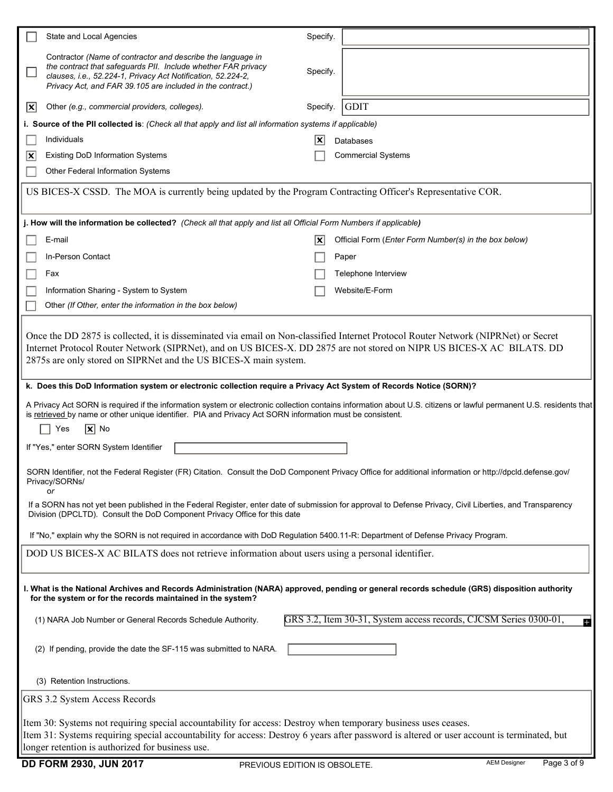|                                                                                                                                                                                                             | State and Local Agencies                                                                                                                                                                                                                                                                                                         | Specify. |                                                                        |  |
|-------------------------------------------------------------------------------------------------------------------------------------------------------------------------------------------------------------|----------------------------------------------------------------------------------------------------------------------------------------------------------------------------------------------------------------------------------------------------------------------------------------------------------------------------------|----------|------------------------------------------------------------------------|--|
|                                                                                                                                                                                                             | Contractor (Name of contractor and describe the language in<br>the contract that safeguards PII. Include whether FAR privacy<br>clauses, i.e., 52.224-1, Privacy Act Notification, 52.224-2,<br>Privacy Act, and FAR 39.105 are included in the contract.)                                                                       | Specify. |                                                                        |  |
| $ \mathsf{x} $                                                                                                                                                                                              | Other (e.g., commercial providers, colleges).                                                                                                                                                                                                                                                                                    | Specify. | <b>GDIT</b>                                                            |  |
|                                                                                                                                                                                                             | i. Source of the PII collected is: (Check all that apply and list all information systems if applicable)                                                                                                                                                                                                                         |          |                                                                        |  |
|                                                                                                                                                                                                             | Individuals                                                                                                                                                                                                                                                                                                                      | X        | <b>Databases</b>                                                       |  |
| x                                                                                                                                                                                                           | <b>Existing DoD Information Systems</b>                                                                                                                                                                                                                                                                                          |          | <b>Commercial Systems</b>                                              |  |
|                                                                                                                                                                                                             | Other Federal Information Systems                                                                                                                                                                                                                                                                                                |          |                                                                        |  |
|                                                                                                                                                                                                             | US BICES-X CSSD. The MOA is currently being updated by the Program Contracting Officer's Representative COR.                                                                                                                                                                                                                     |          |                                                                        |  |
|                                                                                                                                                                                                             | j. How will the information be collected? (Check all that apply and list all Official Form Numbers if applicable)                                                                                                                                                                                                                |          |                                                                        |  |
|                                                                                                                                                                                                             | E-mail                                                                                                                                                                                                                                                                                                                           | X        | Official Form (Enter Form Number(s) in the box below)                  |  |
|                                                                                                                                                                                                             | In-Person Contact                                                                                                                                                                                                                                                                                                                |          | Paper                                                                  |  |
|                                                                                                                                                                                                             | Fax                                                                                                                                                                                                                                                                                                                              |          | Telephone Interview                                                    |  |
|                                                                                                                                                                                                             | Information Sharing - System to System                                                                                                                                                                                                                                                                                           |          | Website/E-Form                                                         |  |
|                                                                                                                                                                                                             | Other (If Other, enter the information in the box below)                                                                                                                                                                                                                                                                         |          |                                                                        |  |
|                                                                                                                                                                                                             | Once the DD 2875 is collected, it is disseminated via email on Non-classified Internet Protocol Router Network (NIPRNet) or Secret<br>Internet Protocol Router Network (SIPRNet), and on US BICES-X. DD 2875 are not stored on NIPR US BICES-X AC BILATS. DD<br>2875s are only stored on SIPRNet and the US BICES-X main system. |          |                                                                        |  |
|                                                                                                                                                                                                             | k. Does this DoD Information system or electronic collection require a Privacy Act System of Records Notice (SORN)?                                                                                                                                                                                                              |          |                                                                        |  |
|                                                                                                                                                                                                             | A Privacy Act SORN is required if the information system or electronic collection contains information about U.S. citizens or lawful permanent U.S. residents that<br>is retrieved by name or other unique identifier. PIA and Privacy Act SORN information must be consistent.<br>$ \mathbf{x} $ No<br>Yes                      |          |                                                                        |  |
|                                                                                                                                                                                                             | If "Yes," enter SORN System Identifier                                                                                                                                                                                                                                                                                           |          |                                                                        |  |
|                                                                                                                                                                                                             |                                                                                                                                                                                                                                                                                                                                  |          |                                                                        |  |
| SORN Identifier, not the Federal Register (FR) Citation. Consult the DoD Component Privacy Office for additional information or http://dpcld.defense.gov/<br>Privacy/SORNs/<br>or                           |                                                                                                                                                                                                                                                                                                                                  |          |                                                                        |  |
|                                                                                                                                                                                                             | If a SORN has not yet been published in the Federal Register, enter date of submission for approval to Defense Privacy, Civil Liberties, and Transparency<br>Division (DPCLTD). Consult the DoD Component Privacy Office for this date                                                                                           |          |                                                                        |  |
| If "No," explain why the SORN is not required in accordance with DoD Regulation 5400.11-R: Department of Defense Privacy Program.                                                                           |                                                                                                                                                                                                                                                                                                                                  |          |                                                                        |  |
|                                                                                                                                                                                                             | DOD US BICES-X AC BILATS does not retrieve information about users using a personal identifier.                                                                                                                                                                                                                                  |          |                                                                        |  |
| I. What is the National Archives and Records Administration (NARA) approved, pending or general records schedule (GRS) disposition authority<br>for the system or for the records maintained in the system? |                                                                                                                                                                                                                                                                                                                                  |          |                                                                        |  |
|                                                                                                                                                                                                             | (1) NARA Job Number or General Records Schedule Authority.                                                                                                                                                                                                                                                                       |          | GRS 3.2, Item 30-31, System access records, CJCSM Series 0300-01,<br>ø |  |
|                                                                                                                                                                                                             | (2) If pending, provide the date the SF-115 was submitted to NARA.                                                                                                                                                                                                                                                               |          |                                                                        |  |
|                                                                                                                                                                                                             | (3) Retention Instructions.                                                                                                                                                                                                                                                                                                      |          |                                                                        |  |
|                                                                                                                                                                                                             | GRS 3.2 System Access Records                                                                                                                                                                                                                                                                                                    |          |                                                                        |  |
| Item 30: Systems not requiring special accountability for access: Destroy when temporary business uses ceases.                                                                                              |                                                                                                                                                                                                                                                                                                                                  |          |                                                                        |  |
|                                                                                                                                                                                                             | Item 31: Systems requiring special accountability for access: Destroy 6 years after password is altered or user account is terminated, but                                                                                                                                                                                       |          |                                                                        |  |
|                                                                                                                                                                                                             | longer retention is authorized for business use.                                                                                                                                                                                                                                                                                 |          |                                                                        |  |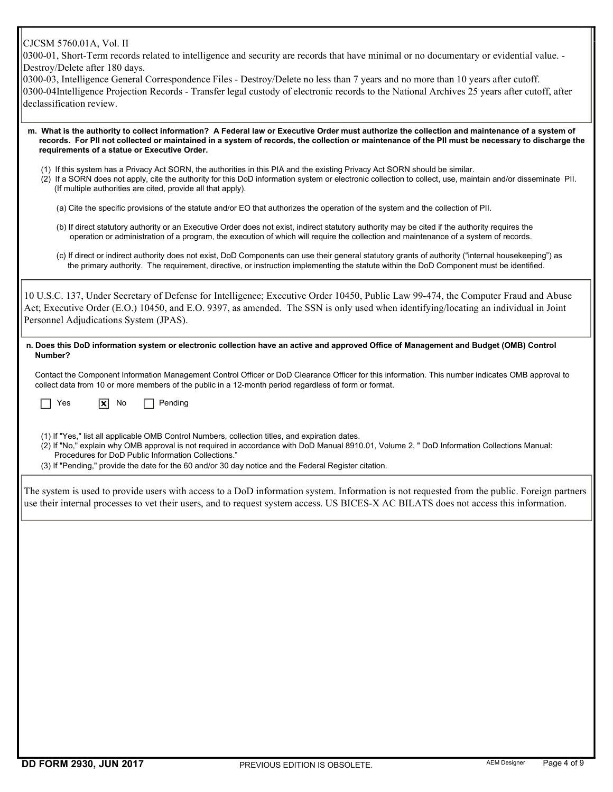0300-01, Short-Term records related to intelligence and security are records that have minimal or no documentary or evidential value. - Destroy/Delete after 180 days.

| 0300-03, Intelligence General Correspondence Files - Destroy/Delete no less than 7 years and no more than 10 years after cutoff.            |
|---------------------------------------------------------------------------------------------------------------------------------------------|
| 0300-04Intelligence Projection Records - Transfer legal custody of electronic records to the National Archives 25 years after cutoff, after |
| declassification review.                                                                                                                    |

 m. What is the authority to collect information? A Federal law or Executive Order must authorize the collection and maintenance of a system of records. For PII not collected or maintained in a system of records, the collection or maintenance of the PII must be necessary to discharge the requirements of a statue or Executive Order.

- (1) If this system has a Privacy Act SORN, the authorities in this PIA and the existing Privacy Act SORN should be similar.
- (2) If a SORN does not apply, cite the authority for this DoD information system or electronic collection to collect, use, maintain and/or disseminate PII. (If multiple authorities are cited, provide all that apply).
	- (a) Cite the specific provisions of the statute and/or EO that authorizes the operation of the system and the collection of PII.
	- (b) If direct statutory authority or an Executive Order does not exist, indirect statutory authority may be cited if the authority requires the operation or administration of a program, the execution of which will require the collection and maintenance of a system of records.
	- (c) If direct or indirect authority does not exist, DoD Components can use their general statutory grants of authority ("internal housekeeping") as the primary authority. The requirement, directive, or instruction implementing the statute within the DoD Component must be identified.

| 10 U.S.C. 137, Under Secretary of Defense for Intelligence; Executive Order 10450, Public Law 99-474, the Computer Fraud and Abuse<br>Act; Executive Order (E.O.) 10450, and E.O. 9397, as amended. The SSN is only used when identifying/locating an individual in Joint<br>Personnel Adjudications System (JPAS).                                                                                             |
|-----------------------------------------------------------------------------------------------------------------------------------------------------------------------------------------------------------------------------------------------------------------------------------------------------------------------------------------------------------------------------------------------------------------|
| n. Does this DoD information system or electronic collection have an active and approved Office of Management and Budget (OMB) Control<br>Number?                                                                                                                                                                                                                                                               |
| Contact the Component Information Management Control Officer or DoD Clearance Officer for this information. This number indicates OMB approval to<br>collect data from 10 or more members of the public in a 12-month period regardless of form or format.                                                                                                                                                      |
| $ \mathbf{x} $<br>No<br>Pending<br>Yes                                                                                                                                                                                                                                                                                                                                                                          |
| (1) If "Yes," list all applicable OMB Control Numbers, collection titles, and expiration dates.<br>(2) If "No," explain why OMB approval is not required in accordance with DoD Manual 8910.01, Volume 2, " DoD Information Collections Manual:<br>Procedures for DoD Public Information Collections."<br>(3) If "Pending," provide the date for the 60 and/or 30 day notice and the Federal Register citation. |
| The system is used to provide users with access to a DoD information system. Information is not requested from the public. Foreign partners<br>use their internal processes to vet their users, and to request system access. US BICES-X AC BILATS does not access this information.                                                                                                                            |
|                                                                                                                                                                                                                                                                                                                                                                                                                 |
|                                                                                                                                                                                                                                                                                                                                                                                                                 |
|                                                                                                                                                                                                                                                                                                                                                                                                                 |
|                                                                                                                                                                                                                                                                                                                                                                                                                 |
|                                                                                                                                                                                                                                                                                                                                                                                                                 |
|                                                                                                                                                                                                                                                                                                                                                                                                                 |
|                                                                                                                                                                                                                                                                                                                                                                                                                 |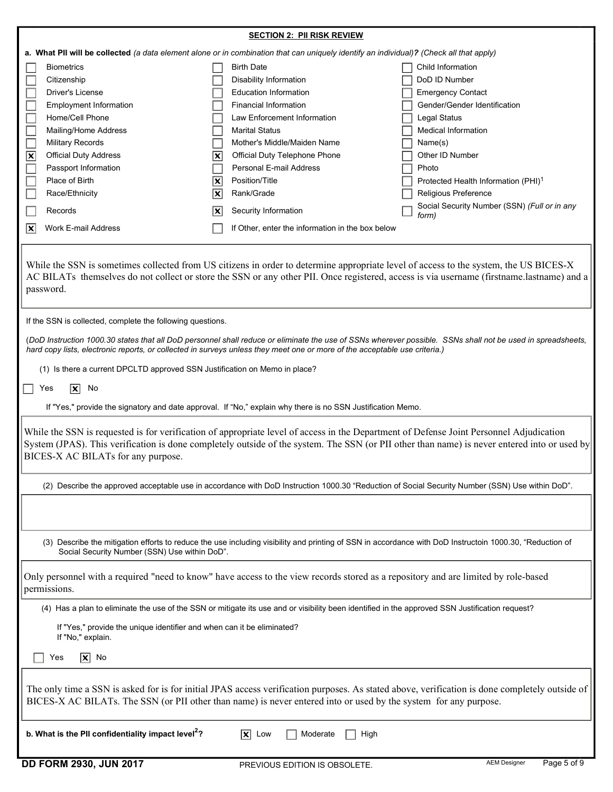| a. What PII will be collected (a data element alone or in combination that can uniquely identify an individual)? (Check all that apply)<br><b>Biometrics</b><br><b>Birth Date</b><br>Child Information<br>DoD ID Number<br>Citizenship<br><b>Disability Information</b><br><b>Driver's License</b><br><b>Education Information</b><br><b>Emergency Contact</b><br><b>Employment Information</b><br><b>Financial Information</b><br>Gender/Gender Identification<br>Home/Cell Phone<br>Law Enforcement Information<br>Legal Status<br>Mailing/Home Address<br><b>Marital Status</b><br><b>Medical Information</b><br><b>Military Records</b><br>Mother's Middle/Maiden Name<br>Name(s)<br>$\overline{\mathbf{x}}$<br>$\overline{\mathbf{x}}$<br><b>Official Duty Address</b><br>Official Duty Telephone Phone<br>Other ID Number<br>Personal E-mail Address<br>Passport Information<br>Photo<br>Place of Birth<br>Position/Title<br>$\overline{\mathbf{x}}$<br>Protected Health Information (PHI) <sup>1</sup><br>Rank/Grade<br>Religious Preference<br>Race/Ethnicity<br>$ \mathbf{x} $<br>Social Security Number (SSN) (Full or in any<br>Records<br>Security Information<br>lx<br>form)<br>Work E-mail Address<br>If Other, enter the information in the box below<br>$ \mathbf{x} $<br>While the SSN is sometimes collected from US citizens in order to determine appropriate level of access to the system, the US BICES-X<br>AC BILATs themselves do not collect or store the SSN or any other PII. Once registered, access is via username (firstname.lastname) and a<br>password.<br>If the SSN is collected, complete the following questions.<br>(DoD Instruction 1000.30 states that all DoD personnel shall reduce or eliminate the use of SSNs wherever possible. SSNs shall not be used in spreadsheets,<br>hard copy lists, electronic reports, or collected in surveys unless they meet one or more of the acceptable use criteria.)<br>(1) Is there a current DPCLTD approved SSN Justification on Memo in place?<br>Ιx<br>No<br>Yes<br>If "Yes," provide the signatory and date approval. If "No," explain why there is no SSN Justification Memo.<br>While the SSN is requested is for verification of appropriate level of access in the Department of Defense Joint Personnel Adjudication<br>BICES-X AC BILATs for any purpose.<br>(2) Describe the approved acceptable use in accordance with DoD Instruction 1000.30 "Reduction of Social Security Number (SSN) Use within DoD".<br>(3) Describe the mitigation efforts to reduce the use including visibility and printing of SSN in accordance with DoD Instructoin 1000.30, "Reduction of<br>Social Security Number (SSN) Use within DoD".<br>Only personnel with a required "need to know" have access to the view records stored as a repository and are limited by role-based<br>permissions.<br>(4) Has a plan to eliminate the use of the SSN or mitigate its use and or visibility been identified in the approved SSN Justification request?<br>If "Yes," provide the unique identifier and when can it be eliminated?<br>If "No," explain.<br>$ \overline{\mathbf{x}} $ No<br>Yes<br>BICES-X AC BILATs. The SSN (or PII other than name) is never entered into or used by the system for any purpose.<br>b. What is the PII confidentiality impact level <sup>2</sup> ?<br>$ \mathbf{x} $<br>Low<br>Moderate<br>High |                                                                                                                                                | <b>SECTION 2: PII RISK REVIEW</b> |                                    |  |  |
|---------------------------------------------------------------------------------------------------------------------------------------------------------------------------------------------------------------------------------------------------------------------------------------------------------------------------------------------------------------------------------------------------------------------------------------------------------------------------------------------------------------------------------------------------------------------------------------------------------------------------------------------------------------------------------------------------------------------------------------------------------------------------------------------------------------------------------------------------------------------------------------------------------------------------------------------------------------------------------------------------------------------------------------------------------------------------------------------------------------------------------------------------------------------------------------------------------------------------------------------------------------------------------------------------------------------------------------------------------------------------------------------------------------------------------------------------------------------------------------------------------------------------------------------------------------------------------------------------------------------------------------------------------------------------------------------------------------------------------------------------------------------------------------------------------------------------------------------------------------------------------------------------------------------------------------------------------------------------------------------------------------------------------------------------------------------------------------------------------------------------------------------------------------------------------------------------------------------------------------------------------------------------------------------------------------------------------------------------------------------------------------------------------------------------------------------------------------------------------------------------------------------------------------------------------------------------------------------------------------------------------------------------------------------------------------------------------------------------------------------------------------------------------------------------------------------------------------------------------------------------------------------------------------------------------------------------------------------------------------------------------------------------------------------------------------------------------------------------------------------------------------------------------------------------------------------------------------------------------------------------------------------------------------------------------------------------------------------------------------------------------------------------------|------------------------------------------------------------------------------------------------------------------------------------------------|-----------------------------------|------------------------------------|--|--|
|                                                                                                                                                                                                                                                                                                                                                                                                                                                                                                                                                                                                                                                                                                                                                                                                                                                                                                                                                                                                                                                                                                                                                                                                                                                                                                                                                                                                                                                                                                                                                                                                                                                                                                                                                                                                                                                                                                                                                                                                                                                                                                                                                                                                                                                                                                                                                                                                                                                                                                                                                                                                                                                                                                                                                                                                                                                                                                                                                                                                                                                                                                                                                                                                                                                                                                                                                                                                         |                                                                                                                                                |                                   |                                    |  |  |
|                                                                                                                                                                                                                                                                                                                                                                                                                                                                                                                                                                                                                                                                                                                                                                                                                                                                                                                                                                                                                                                                                                                                                                                                                                                                                                                                                                                                                                                                                                                                                                                                                                                                                                                                                                                                                                                                                                                                                                                                                                                                                                                                                                                                                                                                                                                                                                                                                                                                                                                                                                                                                                                                                                                                                                                                                                                                                                                                                                                                                                                                                                                                                                                                                                                                                                                                                                                                         |                                                                                                                                                |                                   |                                    |  |  |
|                                                                                                                                                                                                                                                                                                                                                                                                                                                                                                                                                                                                                                                                                                                                                                                                                                                                                                                                                                                                                                                                                                                                                                                                                                                                                                                                                                                                                                                                                                                                                                                                                                                                                                                                                                                                                                                                                                                                                                                                                                                                                                                                                                                                                                                                                                                                                                                                                                                                                                                                                                                                                                                                                                                                                                                                                                                                                                                                                                                                                                                                                                                                                                                                                                                                                                                                                                                                         |                                                                                                                                                |                                   |                                    |  |  |
|                                                                                                                                                                                                                                                                                                                                                                                                                                                                                                                                                                                                                                                                                                                                                                                                                                                                                                                                                                                                                                                                                                                                                                                                                                                                                                                                                                                                                                                                                                                                                                                                                                                                                                                                                                                                                                                                                                                                                                                                                                                                                                                                                                                                                                                                                                                                                                                                                                                                                                                                                                                                                                                                                                                                                                                                                                                                                                                                                                                                                                                                                                                                                                                                                                                                                                                                                                                                         |                                                                                                                                                |                                   |                                    |  |  |
|                                                                                                                                                                                                                                                                                                                                                                                                                                                                                                                                                                                                                                                                                                                                                                                                                                                                                                                                                                                                                                                                                                                                                                                                                                                                                                                                                                                                                                                                                                                                                                                                                                                                                                                                                                                                                                                                                                                                                                                                                                                                                                                                                                                                                                                                                                                                                                                                                                                                                                                                                                                                                                                                                                                                                                                                                                                                                                                                                                                                                                                                                                                                                                                                                                                                                                                                                                                                         |                                                                                                                                                |                                   |                                    |  |  |
|                                                                                                                                                                                                                                                                                                                                                                                                                                                                                                                                                                                                                                                                                                                                                                                                                                                                                                                                                                                                                                                                                                                                                                                                                                                                                                                                                                                                                                                                                                                                                                                                                                                                                                                                                                                                                                                                                                                                                                                                                                                                                                                                                                                                                                                                                                                                                                                                                                                                                                                                                                                                                                                                                                                                                                                                                                                                                                                                                                                                                                                                                                                                                                                                                                                                                                                                                                                                         |                                                                                                                                                |                                   |                                    |  |  |
|                                                                                                                                                                                                                                                                                                                                                                                                                                                                                                                                                                                                                                                                                                                                                                                                                                                                                                                                                                                                                                                                                                                                                                                                                                                                                                                                                                                                                                                                                                                                                                                                                                                                                                                                                                                                                                                                                                                                                                                                                                                                                                                                                                                                                                                                                                                                                                                                                                                                                                                                                                                                                                                                                                                                                                                                                                                                                                                                                                                                                                                                                                                                                                                                                                                                                                                                                                                                         |                                                                                                                                                |                                   |                                    |  |  |
|                                                                                                                                                                                                                                                                                                                                                                                                                                                                                                                                                                                                                                                                                                                                                                                                                                                                                                                                                                                                                                                                                                                                                                                                                                                                                                                                                                                                                                                                                                                                                                                                                                                                                                                                                                                                                                                                                                                                                                                                                                                                                                                                                                                                                                                                                                                                                                                                                                                                                                                                                                                                                                                                                                                                                                                                                                                                                                                                                                                                                                                                                                                                                                                                                                                                                                                                                                                                         |                                                                                                                                                |                                   |                                    |  |  |
|                                                                                                                                                                                                                                                                                                                                                                                                                                                                                                                                                                                                                                                                                                                                                                                                                                                                                                                                                                                                                                                                                                                                                                                                                                                                                                                                                                                                                                                                                                                                                                                                                                                                                                                                                                                                                                                                                                                                                                                                                                                                                                                                                                                                                                                                                                                                                                                                                                                                                                                                                                                                                                                                                                                                                                                                                                                                                                                                                                                                                                                                                                                                                                                                                                                                                                                                                                                                         |                                                                                                                                                |                                   |                                    |  |  |
|                                                                                                                                                                                                                                                                                                                                                                                                                                                                                                                                                                                                                                                                                                                                                                                                                                                                                                                                                                                                                                                                                                                                                                                                                                                                                                                                                                                                                                                                                                                                                                                                                                                                                                                                                                                                                                                                                                                                                                                                                                                                                                                                                                                                                                                                                                                                                                                                                                                                                                                                                                                                                                                                                                                                                                                                                                                                                                                                                                                                                                                                                                                                                                                                                                                                                                                                                                                                         |                                                                                                                                                |                                   |                                    |  |  |
|                                                                                                                                                                                                                                                                                                                                                                                                                                                                                                                                                                                                                                                                                                                                                                                                                                                                                                                                                                                                                                                                                                                                                                                                                                                                                                                                                                                                                                                                                                                                                                                                                                                                                                                                                                                                                                                                                                                                                                                                                                                                                                                                                                                                                                                                                                                                                                                                                                                                                                                                                                                                                                                                                                                                                                                                                                                                                                                                                                                                                                                                                                                                                                                                                                                                                                                                                                                                         |                                                                                                                                                |                                   |                                    |  |  |
|                                                                                                                                                                                                                                                                                                                                                                                                                                                                                                                                                                                                                                                                                                                                                                                                                                                                                                                                                                                                                                                                                                                                                                                                                                                                                                                                                                                                                                                                                                                                                                                                                                                                                                                                                                                                                                                                                                                                                                                                                                                                                                                                                                                                                                                                                                                                                                                                                                                                                                                                                                                                                                                                                                                                                                                                                                                                                                                                                                                                                                                                                                                                                                                                                                                                                                                                                                                                         |                                                                                                                                                |                                   |                                    |  |  |
|                                                                                                                                                                                                                                                                                                                                                                                                                                                                                                                                                                                                                                                                                                                                                                                                                                                                                                                                                                                                                                                                                                                                                                                                                                                                                                                                                                                                                                                                                                                                                                                                                                                                                                                                                                                                                                                                                                                                                                                                                                                                                                                                                                                                                                                                                                                                                                                                                                                                                                                                                                                                                                                                                                                                                                                                                                                                                                                                                                                                                                                                                                                                                                                                                                                                                                                                                                                                         |                                                                                                                                                |                                   |                                    |  |  |
|                                                                                                                                                                                                                                                                                                                                                                                                                                                                                                                                                                                                                                                                                                                                                                                                                                                                                                                                                                                                                                                                                                                                                                                                                                                                                                                                                                                                                                                                                                                                                                                                                                                                                                                                                                                                                                                                                                                                                                                                                                                                                                                                                                                                                                                                                                                                                                                                                                                                                                                                                                                                                                                                                                                                                                                                                                                                                                                                                                                                                                                                                                                                                                                                                                                                                                                                                                                                         |                                                                                                                                                |                                   |                                    |  |  |
|                                                                                                                                                                                                                                                                                                                                                                                                                                                                                                                                                                                                                                                                                                                                                                                                                                                                                                                                                                                                                                                                                                                                                                                                                                                                                                                                                                                                                                                                                                                                                                                                                                                                                                                                                                                                                                                                                                                                                                                                                                                                                                                                                                                                                                                                                                                                                                                                                                                                                                                                                                                                                                                                                                                                                                                                                                                                                                                                                                                                                                                                                                                                                                                                                                                                                                                                                                                                         |                                                                                                                                                |                                   |                                    |  |  |
|                                                                                                                                                                                                                                                                                                                                                                                                                                                                                                                                                                                                                                                                                                                                                                                                                                                                                                                                                                                                                                                                                                                                                                                                                                                                                                                                                                                                                                                                                                                                                                                                                                                                                                                                                                                                                                                                                                                                                                                                                                                                                                                                                                                                                                                                                                                                                                                                                                                                                                                                                                                                                                                                                                                                                                                                                                                                                                                                                                                                                                                                                                                                                                                                                                                                                                                                                                                                         |                                                                                                                                                |                                   |                                    |  |  |
|                                                                                                                                                                                                                                                                                                                                                                                                                                                                                                                                                                                                                                                                                                                                                                                                                                                                                                                                                                                                                                                                                                                                                                                                                                                                                                                                                                                                                                                                                                                                                                                                                                                                                                                                                                                                                                                                                                                                                                                                                                                                                                                                                                                                                                                                                                                                                                                                                                                                                                                                                                                                                                                                                                                                                                                                                                                                                                                                                                                                                                                                                                                                                                                                                                                                                                                                                                                                         |                                                                                                                                                |                                   |                                    |  |  |
|                                                                                                                                                                                                                                                                                                                                                                                                                                                                                                                                                                                                                                                                                                                                                                                                                                                                                                                                                                                                                                                                                                                                                                                                                                                                                                                                                                                                                                                                                                                                                                                                                                                                                                                                                                                                                                                                                                                                                                                                                                                                                                                                                                                                                                                                                                                                                                                                                                                                                                                                                                                                                                                                                                                                                                                                                                                                                                                                                                                                                                                                                                                                                                                                                                                                                                                                                                                                         |                                                                                                                                                |                                   |                                    |  |  |
|                                                                                                                                                                                                                                                                                                                                                                                                                                                                                                                                                                                                                                                                                                                                                                                                                                                                                                                                                                                                                                                                                                                                                                                                                                                                                                                                                                                                                                                                                                                                                                                                                                                                                                                                                                                                                                                                                                                                                                                                                                                                                                                                                                                                                                                                                                                                                                                                                                                                                                                                                                                                                                                                                                                                                                                                                                                                                                                                                                                                                                                                                                                                                                                                                                                                                                                                                                                                         |                                                                                                                                                |                                   |                                    |  |  |
|                                                                                                                                                                                                                                                                                                                                                                                                                                                                                                                                                                                                                                                                                                                                                                                                                                                                                                                                                                                                                                                                                                                                                                                                                                                                                                                                                                                                                                                                                                                                                                                                                                                                                                                                                                                                                                                                                                                                                                                                                                                                                                                                                                                                                                                                                                                                                                                                                                                                                                                                                                                                                                                                                                                                                                                                                                                                                                                                                                                                                                                                                                                                                                                                                                                                                                                                                                                                         |                                                                                                                                                |                                   |                                    |  |  |
|                                                                                                                                                                                                                                                                                                                                                                                                                                                                                                                                                                                                                                                                                                                                                                                                                                                                                                                                                                                                                                                                                                                                                                                                                                                                                                                                                                                                                                                                                                                                                                                                                                                                                                                                                                                                                                                                                                                                                                                                                                                                                                                                                                                                                                                                                                                                                                                                                                                                                                                                                                                                                                                                                                                                                                                                                                                                                                                                                                                                                                                                                                                                                                                                                                                                                                                                                                                                         |                                                                                                                                                |                                   |                                    |  |  |
|                                                                                                                                                                                                                                                                                                                                                                                                                                                                                                                                                                                                                                                                                                                                                                                                                                                                                                                                                                                                                                                                                                                                                                                                                                                                                                                                                                                                                                                                                                                                                                                                                                                                                                                                                                                                                                                                                                                                                                                                                                                                                                                                                                                                                                                                                                                                                                                                                                                                                                                                                                                                                                                                                                                                                                                                                                                                                                                                                                                                                                                                                                                                                                                                                                                                                                                                                                                                         |                                                                                                                                                |                                   |                                    |  |  |
|                                                                                                                                                                                                                                                                                                                                                                                                                                                                                                                                                                                                                                                                                                                                                                                                                                                                                                                                                                                                                                                                                                                                                                                                                                                                                                                                                                                                                                                                                                                                                                                                                                                                                                                                                                                                                                                                                                                                                                                                                                                                                                                                                                                                                                                                                                                                                                                                                                                                                                                                                                                                                                                                                                                                                                                                                                                                                                                                                                                                                                                                                                                                                                                                                                                                                                                                                                                                         |                                                                                                                                                |                                   |                                    |  |  |
|                                                                                                                                                                                                                                                                                                                                                                                                                                                                                                                                                                                                                                                                                                                                                                                                                                                                                                                                                                                                                                                                                                                                                                                                                                                                                                                                                                                                                                                                                                                                                                                                                                                                                                                                                                                                                                                                                                                                                                                                                                                                                                                                                                                                                                                                                                                                                                                                                                                                                                                                                                                                                                                                                                                                                                                                                                                                                                                                                                                                                                                                                                                                                                                                                                                                                                                                                                                                         |                                                                                                                                                |                                   |                                    |  |  |
|                                                                                                                                                                                                                                                                                                                                                                                                                                                                                                                                                                                                                                                                                                                                                                                                                                                                                                                                                                                                                                                                                                                                                                                                                                                                                                                                                                                                                                                                                                                                                                                                                                                                                                                                                                                                                                                                                                                                                                                                                                                                                                                                                                                                                                                                                                                                                                                                                                                                                                                                                                                                                                                                                                                                                                                                                                                                                                                                                                                                                                                                                                                                                                                                                                                                                                                                                                                                         |                                                                                                                                                |                                   |                                    |  |  |
|                                                                                                                                                                                                                                                                                                                                                                                                                                                                                                                                                                                                                                                                                                                                                                                                                                                                                                                                                                                                                                                                                                                                                                                                                                                                                                                                                                                                                                                                                                                                                                                                                                                                                                                                                                                                                                                                                                                                                                                                                                                                                                                                                                                                                                                                                                                                                                                                                                                                                                                                                                                                                                                                                                                                                                                                                                                                                                                                                                                                                                                                                                                                                                                                                                                                                                                                                                                                         | System (JPAS). This verification is done completely outside of the system. The SSN (or PII other than name) is never entered into or used by   |                                   |                                    |  |  |
|                                                                                                                                                                                                                                                                                                                                                                                                                                                                                                                                                                                                                                                                                                                                                                                                                                                                                                                                                                                                                                                                                                                                                                                                                                                                                                                                                                                                                                                                                                                                                                                                                                                                                                                                                                                                                                                                                                                                                                                                                                                                                                                                                                                                                                                                                                                                                                                                                                                                                                                                                                                                                                                                                                                                                                                                                                                                                                                                                                                                                                                                                                                                                                                                                                                                                                                                                                                                         |                                                                                                                                                |                                   |                                    |  |  |
|                                                                                                                                                                                                                                                                                                                                                                                                                                                                                                                                                                                                                                                                                                                                                                                                                                                                                                                                                                                                                                                                                                                                                                                                                                                                                                                                                                                                                                                                                                                                                                                                                                                                                                                                                                                                                                                                                                                                                                                                                                                                                                                                                                                                                                                                                                                                                                                                                                                                                                                                                                                                                                                                                                                                                                                                                                                                                                                                                                                                                                                                                                                                                                                                                                                                                                                                                                                                         |                                                                                                                                                |                                   |                                    |  |  |
|                                                                                                                                                                                                                                                                                                                                                                                                                                                                                                                                                                                                                                                                                                                                                                                                                                                                                                                                                                                                                                                                                                                                                                                                                                                                                                                                                                                                                                                                                                                                                                                                                                                                                                                                                                                                                                                                                                                                                                                                                                                                                                                                                                                                                                                                                                                                                                                                                                                                                                                                                                                                                                                                                                                                                                                                                                                                                                                                                                                                                                                                                                                                                                                                                                                                                                                                                                                                         |                                                                                                                                                |                                   |                                    |  |  |
|                                                                                                                                                                                                                                                                                                                                                                                                                                                                                                                                                                                                                                                                                                                                                                                                                                                                                                                                                                                                                                                                                                                                                                                                                                                                                                                                                                                                                                                                                                                                                                                                                                                                                                                                                                                                                                                                                                                                                                                                                                                                                                                                                                                                                                                                                                                                                                                                                                                                                                                                                                                                                                                                                                                                                                                                                                                                                                                                                                                                                                                                                                                                                                                                                                                                                                                                                                                                         |                                                                                                                                                |                                   |                                    |  |  |
|                                                                                                                                                                                                                                                                                                                                                                                                                                                                                                                                                                                                                                                                                                                                                                                                                                                                                                                                                                                                                                                                                                                                                                                                                                                                                                                                                                                                                                                                                                                                                                                                                                                                                                                                                                                                                                                                                                                                                                                                                                                                                                                                                                                                                                                                                                                                                                                                                                                                                                                                                                                                                                                                                                                                                                                                                                                                                                                                                                                                                                                                                                                                                                                                                                                                                                                                                                                                         |                                                                                                                                                |                                   |                                    |  |  |
|                                                                                                                                                                                                                                                                                                                                                                                                                                                                                                                                                                                                                                                                                                                                                                                                                                                                                                                                                                                                                                                                                                                                                                                                                                                                                                                                                                                                                                                                                                                                                                                                                                                                                                                                                                                                                                                                                                                                                                                                                                                                                                                                                                                                                                                                                                                                                                                                                                                                                                                                                                                                                                                                                                                                                                                                                                                                                                                                                                                                                                                                                                                                                                                                                                                                                                                                                                                                         |                                                                                                                                                |                                   |                                    |  |  |
|                                                                                                                                                                                                                                                                                                                                                                                                                                                                                                                                                                                                                                                                                                                                                                                                                                                                                                                                                                                                                                                                                                                                                                                                                                                                                                                                                                                                                                                                                                                                                                                                                                                                                                                                                                                                                                                                                                                                                                                                                                                                                                                                                                                                                                                                                                                                                                                                                                                                                                                                                                                                                                                                                                                                                                                                                                                                                                                                                                                                                                                                                                                                                                                                                                                                                                                                                                                                         |                                                                                                                                                |                                   |                                    |  |  |
|                                                                                                                                                                                                                                                                                                                                                                                                                                                                                                                                                                                                                                                                                                                                                                                                                                                                                                                                                                                                                                                                                                                                                                                                                                                                                                                                                                                                                                                                                                                                                                                                                                                                                                                                                                                                                                                                                                                                                                                                                                                                                                                                                                                                                                                                                                                                                                                                                                                                                                                                                                                                                                                                                                                                                                                                                                                                                                                                                                                                                                                                                                                                                                                                                                                                                                                                                                                                         |                                                                                                                                                |                                   |                                    |  |  |
|                                                                                                                                                                                                                                                                                                                                                                                                                                                                                                                                                                                                                                                                                                                                                                                                                                                                                                                                                                                                                                                                                                                                                                                                                                                                                                                                                                                                                                                                                                                                                                                                                                                                                                                                                                                                                                                                                                                                                                                                                                                                                                                                                                                                                                                                                                                                                                                                                                                                                                                                                                                                                                                                                                                                                                                                                                                                                                                                                                                                                                                                                                                                                                                                                                                                                                                                                                                                         | The only time a SSN is asked for is for initial JPAS access verification purposes. As stated above, verification is done completely outside of |                                   |                                    |  |  |
|                                                                                                                                                                                                                                                                                                                                                                                                                                                                                                                                                                                                                                                                                                                                                                                                                                                                                                                                                                                                                                                                                                                                                                                                                                                                                                                                                                                                                                                                                                                                                                                                                                                                                                                                                                                                                                                                                                                                                                                                                                                                                                                                                                                                                                                                                                                                                                                                                                                                                                                                                                                                                                                                                                                                                                                                                                                                                                                                                                                                                                                                                                                                                                                                                                                                                                                                                                                                         |                                                                                                                                                |                                   |                                    |  |  |
|                                                                                                                                                                                                                                                                                                                                                                                                                                                                                                                                                                                                                                                                                                                                                                                                                                                                                                                                                                                                                                                                                                                                                                                                                                                                                                                                                                                                                                                                                                                                                                                                                                                                                                                                                                                                                                                                                                                                                                                                                                                                                                                                                                                                                                                                                                                                                                                                                                                                                                                                                                                                                                                                                                                                                                                                                                                                                                                                                                                                                                                                                                                                                                                                                                                                                                                                                                                                         | <b>DD FORM 2930, JUN 2017</b>                                                                                                                  | PREVIOUS EDITION IS OBSOLETE.     | <b>AEM Designer</b><br>Page 5 of 9 |  |  |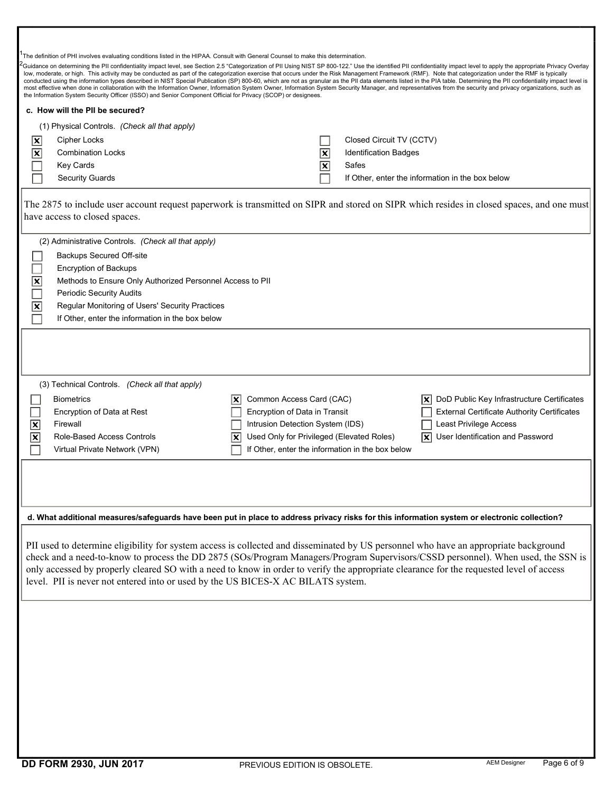|                                                                                                                                                                                                                                                                                                                                                                                                                                                                                                         | The definition of PHI involves evaluating conditions listed in the HIPAA. Consult with General Counsel to make this determination.                                                                                                                                                                                                                                                                                                                                                                                                         |                                                                                                                                                                                                |    |                              |                                                                                                                                                                                                                                                                                                                                                                                                                                                       |
|---------------------------------------------------------------------------------------------------------------------------------------------------------------------------------------------------------------------------------------------------------------------------------------------------------------------------------------------------------------------------------------------------------------------------------------------------------------------------------------------------------|--------------------------------------------------------------------------------------------------------------------------------------------------------------------------------------------------------------------------------------------------------------------------------------------------------------------------------------------------------------------------------------------------------------------------------------------------------------------------------------------------------------------------------------------|------------------------------------------------------------------------------------------------------------------------------------------------------------------------------------------------|----|------------------------------|-------------------------------------------------------------------------------------------------------------------------------------------------------------------------------------------------------------------------------------------------------------------------------------------------------------------------------------------------------------------------------------------------------------------------------------------------------|
|                                                                                                                                                                                                                                                                                                                                                                                                                                                                                                         | low, moderate, or high. This activity may be conducted as part of the categorization exercise that occurs under the Risk Management Framework (RMF). Note that categorization under the RMF is typically<br>most effective when done in collaboration with the Information Owner, Information System Owner, Information System Security Manager, and representatives from the security and privacy organizations, such as<br>the Information System Security Officer (ISSO) and Senior Component Official for Privacy (SCOP) or designees. |                                                                                                                                                                                                |    |                              | Guidance on determining the PII confidentiality impact level, see Section 2.5 "Categorization of PII Using NIST SP 800-122." Use the identified PII confidentiality impact level to apply the appropriate Privacy Overlay<br>conducted using the information types described in NIST Special Publication (SP) 800-60, which are not as granular as the PII data elements listed in the PIA table. Determining the PII confidentiality impact level is |
|                                                                                                                                                                                                                                                                                                                                                                                                                                                                                                         | c. How will the PII be secured?                                                                                                                                                                                                                                                                                                                                                                                                                                                                                                            |                                                                                                                                                                                                |    |                              |                                                                                                                                                                                                                                                                                                                                                                                                                                                       |
|                                                                                                                                                                                                                                                                                                                                                                                                                                                                                                         | (1) Physical Controls. (Check all that apply)                                                                                                                                                                                                                                                                                                                                                                                                                                                                                              |                                                                                                                                                                                                |    |                              |                                                                                                                                                                                                                                                                                                                                                                                                                                                       |
|                                                                                                                                                                                                                                                                                                                                                                                                                                                                                                         | <b>Cipher Locks</b>                                                                                                                                                                                                                                                                                                                                                                                                                                                                                                                        |                                                                                                                                                                                                |    | Closed Circuit TV (CCTV)     |                                                                                                                                                                                                                                                                                                                                                                                                                                                       |
|                                                                                                                                                                                                                                                                                                                                                                                                                                                                                                         | <b>Combination Locks</b>                                                                                                                                                                                                                                                                                                                                                                                                                                                                                                                   |                                                                                                                                                                                                | ΙX | <b>Identification Badges</b> |                                                                                                                                                                                                                                                                                                                                                                                                                                                       |
|                                                                                                                                                                                                                                                                                                                                                                                                                                                                                                         | Key Cards                                                                                                                                                                                                                                                                                                                                                                                                                                                                                                                                  |                                                                                                                                                                                                | ×  | Safes                        |                                                                                                                                                                                                                                                                                                                                                                                                                                                       |
|                                                                                                                                                                                                                                                                                                                                                                                                                                                                                                         | <b>Security Guards</b>                                                                                                                                                                                                                                                                                                                                                                                                                                                                                                                     |                                                                                                                                                                                                |    |                              | If Other, enter the information in the box below                                                                                                                                                                                                                                                                                                                                                                                                      |
|                                                                                                                                                                                                                                                                                                                                                                                                                                                                                                         | have access to closed spaces.                                                                                                                                                                                                                                                                                                                                                                                                                                                                                                              |                                                                                                                                                                                                |    |                              | The 2875 to include user account request paperwork is transmitted on SIPR and stored on SIPR which resides in closed spaces, and one must                                                                                                                                                                                                                                                                                                             |
|                                                                                                                                                                                                                                                                                                                                                                                                                                                                                                         | (2) Administrative Controls. (Check all that apply)                                                                                                                                                                                                                                                                                                                                                                                                                                                                                        |                                                                                                                                                                                                |    |                              |                                                                                                                                                                                                                                                                                                                                                                                                                                                       |
|                                                                                                                                                                                                                                                                                                                                                                                                                                                                                                         | <b>Backups Secured Off-site</b>                                                                                                                                                                                                                                                                                                                                                                                                                                                                                                            |                                                                                                                                                                                                |    |                              |                                                                                                                                                                                                                                                                                                                                                                                                                                                       |
|                                                                                                                                                                                                                                                                                                                                                                                                                                                                                                         | Encryption of Backups                                                                                                                                                                                                                                                                                                                                                                                                                                                                                                                      |                                                                                                                                                                                                |    |                              |                                                                                                                                                                                                                                                                                                                                                                                                                                                       |
|                                                                                                                                                                                                                                                                                                                                                                                                                                                                                                         | Methods to Ensure Only Authorized Personnel Access to PII                                                                                                                                                                                                                                                                                                                                                                                                                                                                                  |                                                                                                                                                                                                |    |                              |                                                                                                                                                                                                                                                                                                                                                                                                                                                       |
|                                                                                                                                                                                                                                                                                                                                                                                                                                                                                                         | <b>Periodic Security Audits</b>                                                                                                                                                                                                                                                                                                                                                                                                                                                                                                            |                                                                                                                                                                                                |    |                              |                                                                                                                                                                                                                                                                                                                                                                                                                                                       |
|                                                                                                                                                                                                                                                                                                                                                                                                                                                                                                         | Regular Monitoring of Users' Security Practices                                                                                                                                                                                                                                                                                                                                                                                                                                                                                            |                                                                                                                                                                                                |    |                              |                                                                                                                                                                                                                                                                                                                                                                                                                                                       |
|                                                                                                                                                                                                                                                                                                                                                                                                                                                                                                         | If Other, enter the information in the box below                                                                                                                                                                                                                                                                                                                                                                                                                                                                                           |                                                                                                                                                                                                |    |                              |                                                                                                                                                                                                                                                                                                                                                                                                                                                       |
| $\overline{\mathbf{x}}$<br>$\overline{\mathbf{x}}$                                                                                                                                                                                                                                                                                                                                                                                                                                                      | (3) Technical Controls. (Check all that apply)<br><b>Biometrics</b><br>Encryption of Data at Rest<br>Firewall<br><b>Role-Based Access Controls</b><br>Virtual Private Network (VPN)                                                                                                                                                                                                                                                                                                                                                        | Common Access Card (CAC)<br>Encryption of Data in Transit<br>Intrusion Detection System (IDS)<br>Used Only for Privileged (Elevated Roles)<br>If Other, enter the information in the box below |    |                              | DoD Public Key Infrastructure Certificates<br><b>External Certificate Authority Certificates</b><br>Least Privilege Access<br>User Identification and Password<br>IX I                                                                                                                                                                                                                                                                                |
|                                                                                                                                                                                                                                                                                                                                                                                                                                                                                                         |                                                                                                                                                                                                                                                                                                                                                                                                                                                                                                                                            |                                                                                                                                                                                                |    |                              |                                                                                                                                                                                                                                                                                                                                                                                                                                                       |
|                                                                                                                                                                                                                                                                                                                                                                                                                                                                                                         | d. What additional measures/safeguards have been put in place to address privacy risks for this information system or electronic collection?                                                                                                                                                                                                                                                                                                                                                                                               |                                                                                                                                                                                                |    |                              |                                                                                                                                                                                                                                                                                                                                                                                                                                                       |
| PII used to determine eligibility for system access is collected and disseminated by US personnel who have an appropriate background<br>check and a need-to-know to process the DD 2875 (SOs/Program Managers/Program Supervisors/CSSD personnel). When used, the SSN is<br>only accessed by properly cleared SO with a need to know in order to verify the appropriate clearance for the requested level of access<br>level. PII is never not entered into or used by the US BICES-X AC BILATS system. |                                                                                                                                                                                                                                                                                                                                                                                                                                                                                                                                            |                                                                                                                                                                                                |    |                              |                                                                                                                                                                                                                                                                                                                                                                                                                                                       |
|                                                                                                                                                                                                                                                                                                                                                                                                                                                                                                         |                                                                                                                                                                                                                                                                                                                                                                                                                                                                                                                                            |                                                                                                                                                                                                |    |                              |                                                                                                                                                                                                                                                                                                                                                                                                                                                       |